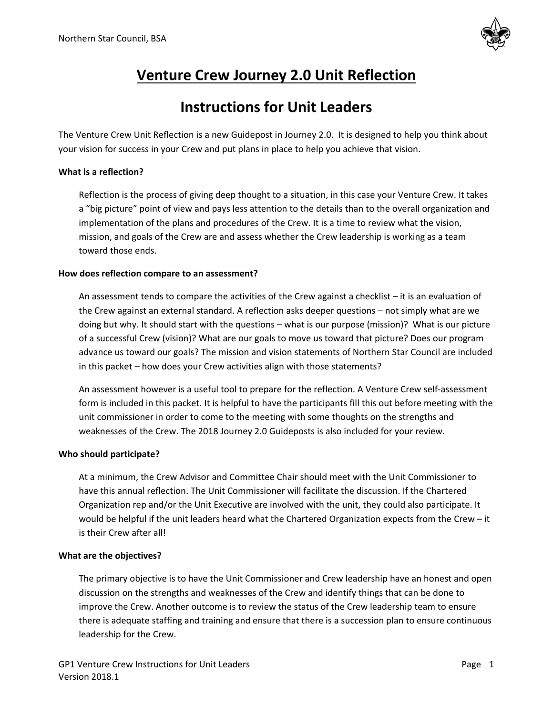

# **Venture Crew Journey 2.0 Unit Reflection**

# **Instructions for Unit Leaders**

The Venture Crew Unit Reflection is a new Guidepost in Journey 2.0. It is designed to help you think about your vision for success in your Crew and put plans in place to help you achieve that vision.

#### **What is a reflection?**

Reflection is the process of giving deep thought to a situation, in this case your Venture Crew. It takes a "big picture" point of view and pays less attention to the details than to the overall organization and implementation of the plans and procedures of the Crew. It is a time to review what the vision, mission, and goals of the Crew are and assess whether the Crew leadership is working as a team toward those ends.

#### **How does reflection compare to an assessment?**

An assessment tends to compare the activities of the Crew against a checklist – it is an evaluation of the Crew against an external standard. A reflection asks deeper questions – not simply what are we doing but why. It should start with the questions – what is our purpose (mission)? What is our picture of a successful Crew (vision)? What are our goals to move us toward that picture? Does our program advance us toward our goals? The mission and vision statements of Northern Star Council are included in this packet – how does your Crew activities align with those statements?

An assessment however is a useful tool to prepare for the reflection. A Venture Crew self-assessment form is included in this packet. It is helpful to have the participants fill this out before meeting with the unit commissioner in order to come to the meeting with some thoughts on the strengths and weaknesses of the Crew. The 2018 Journey 2.0 Guideposts is also included for your review.

#### **Who should participate?**

At a minimum, the Crew Advisor and Committee Chair should meet with the Unit Commissioner to have this annual reflection. The Unit Commissioner will facilitate the discussion. If the Chartered Organization rep and/or the Unit Executive are involved with the unit, they could also participate. It would be helpful if the unit leaders heard what the Chartered Organization expects from the Crew – it is their Crew after all!

#### **What are the objectives?**

The primary objective is to have the Unit Commissioner and Crew leadership have an honest and open discussion on the strengths and weaknesses of the Crew and identify things that can be done to improve the Crew. Another outcome is to review the status of the Crew leadership team to ensure there is adequate staffing and training and ensure that there is a succession plan to ensure continuous leadership for the Crew.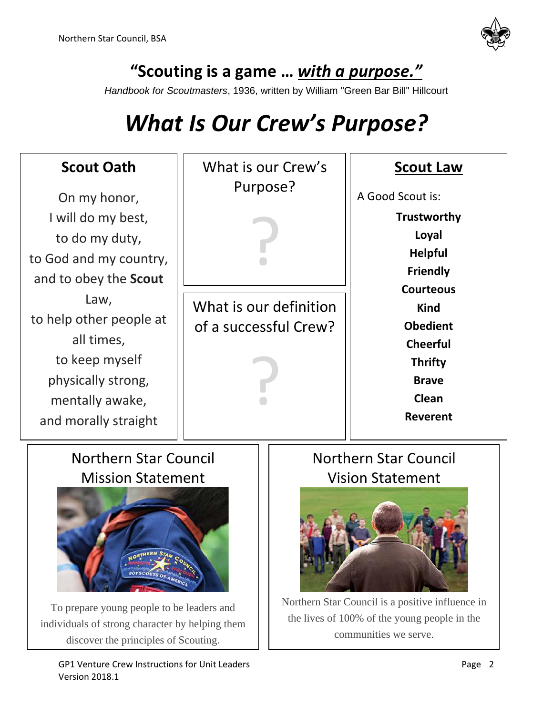

**"Scouting is a game …** *with a purpose."*

*Handbook for Scoutmasters*, 1936, written by William "Green Bar Bill" Hillcourt

# *What Is Our Crew's Purpose?*

| <b>Scout Oath</b><br>On my honor,                                                                                                                                                                                      | What is our Crew's<br>Purpose?                  |  | <b>Scout Law</b><br>A Good Scout is:                                                                                                                                                             |
|------------------------------------------------------------------------------------------------------------------------------------------------------------------------------------------------------------------------|-------------------------------------------------|--|--------------------------------------------------------------------------------------------------------------------------------------------------------------------------------------------------|
| I will do my best,<br>to do my duty,<br>to God and my country,<br>and to obey the <b>Scout</b>                                                                                                                         |                                                 |  | Trustworthy<br>Loyal<br><b>Helpful</b><br><b>Friendly</b><br><b>Courteous</b><br><b>Kind</b><br><b>Obedient</b><br><b>Cheerful</b><br><b>Thrifty</b><br><b>Brave</b><br>Clean<br><b>Reverent</b> |
| Law,<br>to help other people at<br>all times,<br>to keep myself<br>physically strong,<br>mentally awake,<br>and morally straight                                                                                       | What is our definition<br>of a successful Crew? |  |                                                                                                                                                                                                  |
| <b>Northern Star Council</b><br><b>Mission Statement</b><br><b>RTHERN STAR</b><br>To prepare young people to be leaders and<br>individuals of strong character by helping them<br>discover the principles of Scouting. |                                                 |  | <b>Northern Star Council</b><br><b>Vision Statement</b><br>Northern Star Council is a positive influence in<br>the lives of 100% of the young people in the<br>communities we serve.             |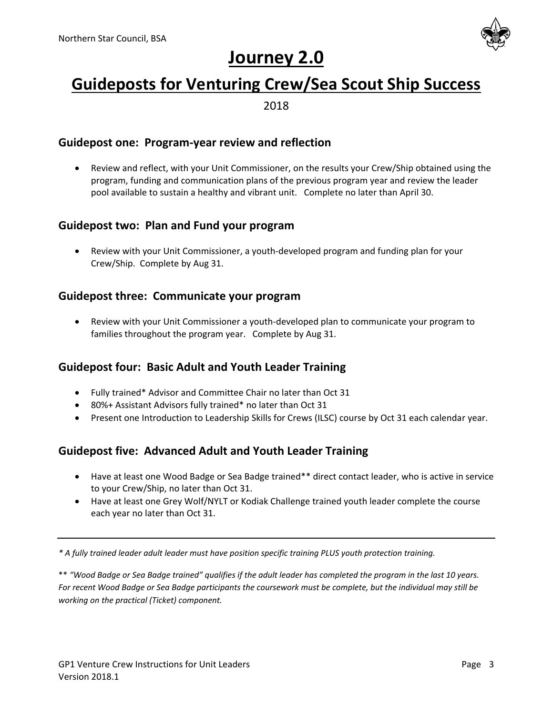

# **Journey 2.0**

# **Guideposts for Venturing Crew/Sea Scout Ship Success**

2018

### **Guidepost one: Program-year review and reflection**

 Review and reflect, with your Unit Commissioner, on the results your Crew/Ship obtained using the program, funding and communication plans of the previous program year and review the leader pool available to sustain a healthy and vibrant unit. Complete no later than April 30.

### **Guidepost two: Plan and Fund your program**

 Review with your Unit Commissioner, a youth-developed program and funding plan for your Crew/Ship. Complete by Aug 31.

### **Guidepost three: Communicate your program**

 Review with your Unit Commissioner a youth-developed plan to communicate your program to families throughout the program year. Complete by Aug 31.

### **Guidepost four: Basic Adult and Youth Leader Training**

- Fully trained\* Advisor and Committee Chair no later than Oct 31
- 80%+ Assistant Advisors fully trained\* no later than Oct 31
- Present one Introduction to Leadership Skills for Crews (ILSC) course by Oct 31 each calendar year.

### **Guidepost five: Advanced Adult and Youth Leader Training**

- Have at least one Wood Badge or Sea Badge trained\*\* direct contact leader, who is active in service to your Crew/Ship, no later than Oct 31.
- Have at least one Grey Wolf/NYLT or Kodiak Challenge trained youth leader complete the course each year no later than Oct 31.

*\* A fully trained leader adult leader must have position specific training PLUS youth protection training.*

\*\* *"Wood Badge or Sea Badge trained" qualifies if the adult leader has completed the program in the last 10 years. For recent Wood Badge or Sea Badge participants the coursework must be complete, but the individual may still be working on the practical (Ticket) component.*